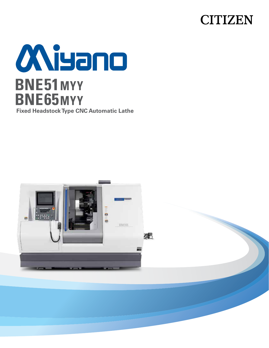# **CITIZEN**



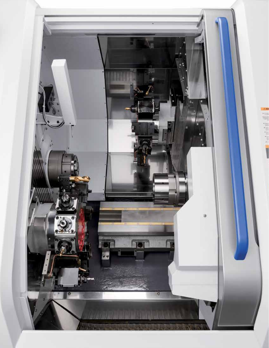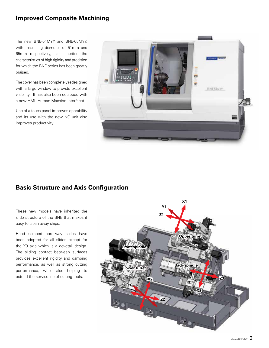The new BNE-51MYY and BNE-65MYY, with machining diameter of 51mm and 65mm respectively, has inherited the characteristics of high rigidity and precision for which the BNE series has been greatly praised.

The cover has been completely redesigned with a large window to provide excellent visibility. It has also been equipped with a new HMI (Human Machine Interface).

Use of a touch panel improves operability and its use with the new NC unit also improves productivity.



## **Basic Structure and Axis Configuration**

These new models have inherited the slide structure of the BNE that makes it easy to clean away chips.

Hand scraped box way slides have been adopted for all slides except for the X3 axis which is a dovetail design. The sliding contact between surfaces provides excellent rigidity and damping performance, as well as strong cutting performance, while also helping to extend the service life of cutting tools.

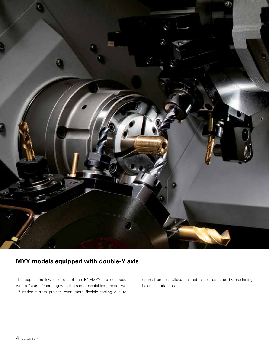

# **MYY models equipped with double-Y axis**

The upper and lower turrets of the BNEMYY are equipped with a Y axis. Operating with the same capabilities, these two 12-station turrets provide even more flexible tooling due to

optimal process allocation that is not restricted by machining balance limitations.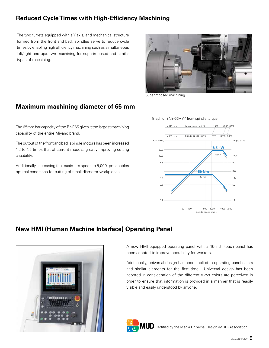## **Reduced Cycle Times with High-Efficiency Machining**

The two turrets equipped with a Y axis, and mechanical structure formed from the front and back spindles serve to reduce cycle times by enabling high efficiency machining such as simultaneous left/right and up/down machining for superimposed and similar types of machining.



Superimposed machining

## **Maximum machining diameter of 65 mm**

Graph of BNE-65MYY front spindle torque

The 65mm bar capacity of the BNE65 gives it the largest machining capability of the entire Miyano brand.

The output of the front and back spindle motors has been increased 1.2 to 1.5 times that of current models, greatly improving cutting capability.

Additionally, increasing the maximum speed to 5,000 rpm enables optimal conditions for cutting of small-diameter workpieces.



## **New HMI (Human Machine Interface) Operating Panel**



A new HMI equipped operating panel with a 15-inch touch panel has been adopted to improve operability for workers.

Additionally, universal design has been applied to operating panel colors and similar elements for the first time. Universal design has been adopted in consideration of the different ways colors are perceived in order to ensure that information is provided in a manner that is readily visible and easily understood by anyone.



**UD** Certified by the Media Universal Design (MUD) Association.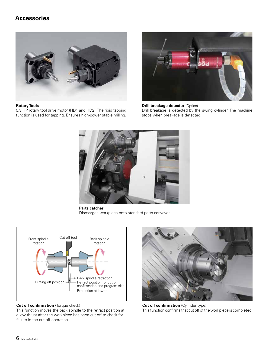## **Accessories**



### **Rotary Tools**

5.3 HP rotary tool drive motor (HD1 and HD2). The rigid tapping function is used for tapping. Ensures high-power stable milling.



**Drill breakage detector (Option)** Drill breakage is detected by the swing cylinder. The machine stops when breakage is detected.



**Parts catcher** Discharges workpiece onto standard parts conveyor.



**Cut off confirmation** (Torque check)

This function moves the back spindle to the retract position at a low thrust after the workpiece has been cut off to check for failure in the cut off operation.



**Cut off confirmation** (Cylinder type) This function confirms that cut off of the workpiece is completed.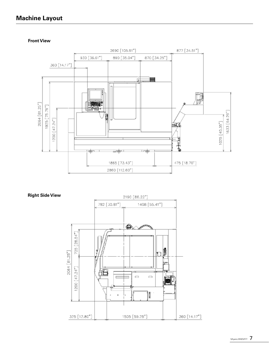# **Machine Layout**

**Front View**